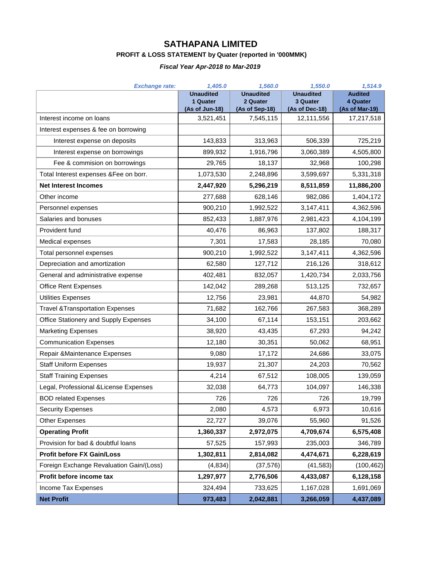## **SATHAPANA LIMITED PROFIT & LOSS STATEMENT by Quater (reported in '000MMK)**

## *Fiscal Year Apr-2018 to Mar-2019*

| <b>Exchange rate:</b>                      | 1,405.0                      | 1,560.0                      | 1,550.0                      | 1,514.9                    |
|--------------------------------------------|------------------------------|------------------------------|------------------------------|----------------------------|
|                                            | <b>Unaudited</b><br>1 Quater | <b>Unaudited</b><br>2 Quater | <b>Unaudited</b><br>3 Quater | <b>Audited</b><br>4 Quater |
|                                            | (As of Jun-18)               | (As of Sep-18)               | (As of Dec-18)               | (As of Mar-19)             |
| Interest income on loans                   | 3,521,451                    | 7,545,115                    | 12,111,556                   | 17,217,518                 |
| Interest expenses & fee on borrowing       |                              |                              |                              |                            |
| Interest expense on deposits               | 143,833                      | 313,963                      | 506,339                      | 725,219                    |
| Interest expense on borrowings             | 899,932                      | 1,916,796                    | 3,060,389                    | 4,505,800                  |
| Fee & commision on borrowings              | 29,765                       | 18,137                       | 32,968                       | 100,298                    |
| Total Interest expenses &Fee on borr.      | 1,073,530                    | 2,248,896                    | 3,599,697                    | 5,331,318                  |
| <b>Net Interest Incomes</b>                | 2,447,920                    | 5,296,219                    | 8,511,859                    | 11,886,200                 |
| Other income                               | 277,688                      | 628,146                      | 982,086                      | 1,404,172                  |
| Personnel expenses                         | 900,210                      | 1,992,522                    | 3,147,411                    | 4,362,596                  |
| Salaries and bonuses                       | 852,433                      | 1,887,976                    | 2,981,423                    | 4,104,199                  |
| Provident fund                             | 40,476                       | 86,963                       | 137,802                      | 188,317                    |
| Medical expenses                           | 7,301                        | 17,583                       | 28,185                       | 70,080                     |
| Total personnel expenses                   | 900,210                      | 1,992,522                    | 3,147,411                    | 4,362,596                  |
| Depreciation and amortization              | 62,580                       | 127,712                      | 216,126                      | 318,612                    |
| General and administrative expense         | 402,481                      | 832,057                      | 1,420,734                    | 2,033,756                  |
| <b>Office Rent Expenses</b>                | 142,042                      | 289,268                      | 513,125                      | 732,657                    |
| <b>Utilities Expenses</b>                  | 12,756                       | 23,981                       | 44,870                       | 54,982                     |
| <b>Travel &amp;Transportation Expenses</b> | 71,682                       | 162,766                      | 267,583                      | 368,289                    |
| Office Stationery and Supply Expenses      | 34,100                       | 67,114                       | 153,151                      | 203,662                    |
| <b>Marketing Expenses</b>                  | 38,920                       | 43,435                       | 67,293                       | 94,242                     |
| <b>Communication Expenses</b>              | 12,180                       | 30,351                       | 50,062                       | 68,951                     |
| Repair & Maintenance Expenses              | 9,080                        | 17,172                       | 24,686                       | 33,075                     |
| <b>Staff Uniform Expenses</b>              | 19,937                       | 21,307                       | 24,203                       | 70,562                     |
| <b>Staff Training Expenses</b>             | 4,214                        | 67,512                       | 108,005                      | 139,059                    |
| Legal, Professional & License Expenses     | 32,038                       | 64,773                       | 104,097                      | 146,338                    |
| <b>BOD related Expenses</b>                | 726                          | 726                          | 726                          | 19,799                     |
| <b>Security Expenses</b>                   | 2,080                        | 4,573                        | 6,973                        | 10,616                     |
| <b>Other Expenses</b>                      | 22,727                       | 39,076                       | 55,960                       | 91,526                     |
| <b>Operating Profit</b>                    | 1,360,337                    | 2,972,075                    | 4,709,674                    | 6,575,408                  |
| Provision for bad & doubtful loans         | 57,525                       | 157,993                      | 235,003                      | 346,789                    |
| <b>Profit before FX Gain/Loss</b>          | 1,302,811                    | 2,814,082                    | 4,474,671                    | 6,228,619                  |
| Foreign Exchange Revaluation Gain/(Loss)   | (4, 834)                     | (37, 576)                    | (41, 583)                    | (100, 462)                 |
| Profit before income tax                   | 1,297,977                    | 2,776,506                    | 4,433,087                    | 6,128,158                  |
| Income Tax Expenses                        | 324,494                      | 733,625                      | 1,167,028                    | 1,691,069                  |
| <b>Net Profit</b>                          | 973,483                      | 2,042,881                    | 3,266,059                    | 4,437,089                  |